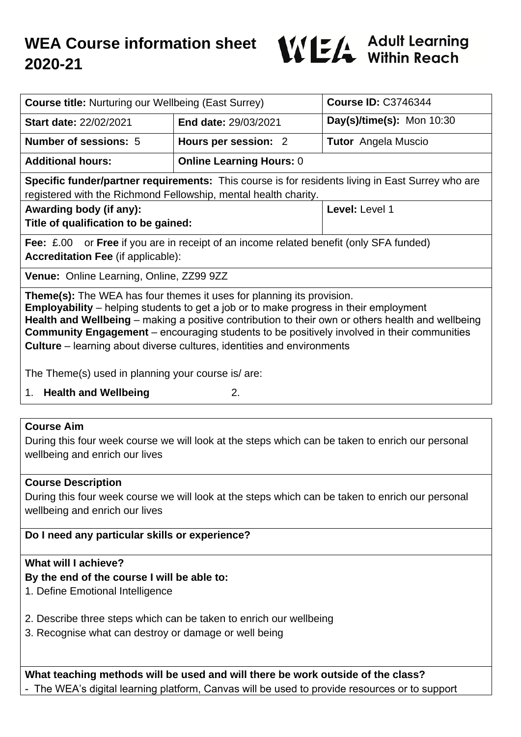

| <b>Course title: Nurturing our Wellbeing (East Surrey)</b>                                                                                                                                                                                                                                                                                                                                                                                                                                                                   |                                 | <b>Course ID: C3746344</b> |
|------------------------------------------------------------------------------------------------------------------------------------------------------------------------------------------------------------------------------------------------------------------------------------------------------------------------------------------------------------------------------------------------------------------------------------------------------------------------------------------------------------------------------|---------------------------------|----------------------------|
| Start date: 22/02/2021                                                                                                                                                                                                                                                                                                                                                                                                                                                                                                       | End date: 29/03/2021            | Day(s)/time(s): Mon 10:30  |
| <b>Number of sessions: 5</b>                                                                                                                                                                                                                                                                                                                                                                                                                                                                                                 | Hours per session: 2            | <b>Tutor</b> Angela Muscio |
| <b>Additional hours:</b>                                                                                                                                                                                                                                                                                                                                                                                                                                                                                                     | <b>Online Learning Hours: 0</b> |                            |
| <b>Specific funder/partner requirements:</b> This course is for residents living in East Surrey who are<br>registered with the Richmond Fellowship, mental health charity.                                                                                                                                                                                                                                                                                                                                                   |                                 |                            |
| Awarding body (if any):<br>Title of qualification to be gained:                                                                                                                                                                                                                                                                                                                                                                                                                                                              |                                 | Level: Level 1             |
| <b>Fee:</b> £.00 or <b>Free</b> if you are in receipt of an income related benefit (only SFA funded)<br><b>Accreditation Fee (if applicable):</b>                                                                                                                                                                                                                                                                                                                                                                            |                                 |                            |
| Venue: Online Learning, Online, ZZ99 9ZZ                                                                                                                                                                                                                                                                                                                                                                                                                                                                                     |                                 |                            |
| <b>Theme(s):</b> The WEA has four themes it uses for planning its provision.<br><b>Employability</b> – helping students to get a job or to make progress in their employment<br>Health and Wellbeing – making a positive contribution to their own or others health and wellbeing<br><b>Community Engagement</b> – encouraging students to be positively involved in their communities<br><b>Culture</b> – learning about diverse cultures, identities and environments<br>The Theme(s) used in planning your course is/are: |                                 |                            |
| <b>Health and Wellbeing</b><br>1 <sub>1</sub>                                                                                                                                                                                                                                                                                                                                                                                                                                                                                | 2.                              |                            |
|                                                                                                                                                                                                                                                                                                                                                                                                                                                                                                                              |                                 |                            |
| <b>Course Aim</b><br>During this four week course we will look at the steps which can be taken to enrich our personal<br>wellbeing and enrich our lives                                                                                                                                                                                                                                                                                                                                                                      |                                 |                            |
| <b>Course Description</b><br>During this four week course we will look at the steps which can be taken to enrich our personal<br>wellbeing and enrich our lives                                                                                                                                                                                                                                                                                                                                                              |                                 |                            |
| Do I need any particular skills or experience?                                                                                                                                                                                                                                                                                                                                                                                                                                                                               |                                 |                            |
| What will I achieve?<br>By the end of the course I will be able to:<br>1. Define Emotional Intelligence<br>2. Describe three steps which can be taken to enrich our wellbeing<br>3. Recognise what can destroy or damage or well being                                                                                                                                                                                                                                                                                       |                                 |                            |
| What teaching methods will be used and will there be work outside of the class?<br>- The WEA's digital learning platform, Canvas will be used to provide resources or to support                                                                                                                                                                                                                                                                                                                                             |                                 |                            |